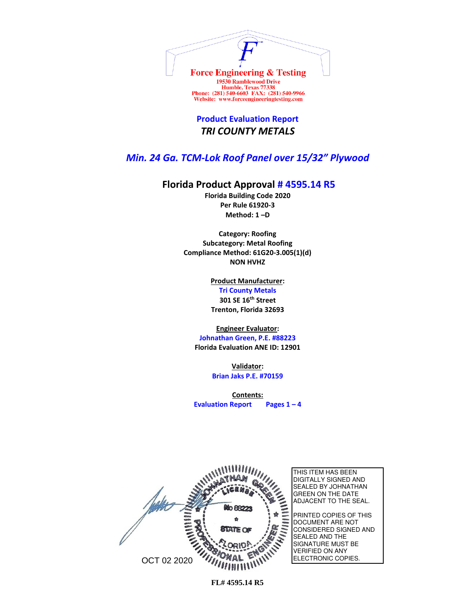

**Product Evaluation Report** *TRI COUNTY METALS*

## *Min. 24 Ga. TCM-Lok Roof Panel over 15/32" Plywood*

## **Florida Product Approval # 4595.14 R5**

**Florida Building Code 2020 Per Rule 61920-3 Method: 1 –D** 

**Category: Roofing Subcategory: Metal Roofing Compliance Method: 61G20-3.005(1)(d) NON HVHZ**

> **Product Manufacturer: Tri County Metals 301 SE 16th Street Trenton, Florida 32693**

**Engineer Evaluator:**

**Johnathan Green, P.E. #88223 Florida Evaluation ANE ID: 12901**

> **Validator: Brian Jaks P.E. #70159**

**Contents: Evaluation Report Pages 1 – 4**

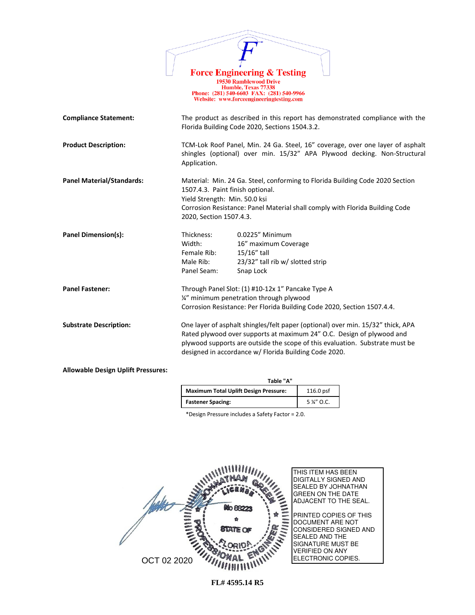|                                           |                                                                                              | <b>Force Engineering &amp; Testing</b><br><b>19530 Ramblewood Drive</b><br>Humble, Texas 77338<br>Phone: (281) 540-6603 FAX: (281) 540-9966<br>Website: www.forceengineeringtesting.com                                                                                                           |
|-------------------------------------------|----------------------------------------------------------------------------------------------|---------------------------------------------------------------------------------------------------------------------------------------------------------------------------------------------------------------------------------------------------------------------------------------------------|
| <b>Compliance Statement:</b>              |                                                                                              | The product as described in this report has demonstrated compliance with the<br>Florida Building Code 2020, Sections 1504.3.2.                                                                                                                                                                    |
| <b>Product Description:</b>               | Application.                                                                                 | TCM-Lok Roof Panel, Min. 24 Ga. Steel, 16" coverage, over one layer of asphalt<br>shingles (optional) over min. 15/32" APA Plywood decking. Non-Structural                                                                                                                                        |
| <b>Panel Material/Standards:</b>          | 1507.4.3. Paint finish optional.<br>Yield Strength: Min. 50.0 ksi<br>2020, Section 1507.4.3. | Material: Min. 24 Ga. Steel, conforming to Florida Building Code 2020 Section<br>Corrosion Resistance: Panel Material shall comply with Florida Building Code                                                                                                                                     |
| Panel Dimension(s):                       | Thickness:<br>Width:<br>Female Rib:<br>Male Rib:<br>Panel Seam:                              | 0.0225" Minimum<br>16" maximum Coverage<br>15/16" tall<br>23/32" tall rib w/ slotted strip<br>Snap Lock                                                                                                                                                                                           |
| <b>Panel Fastener:</b>                    |                                                                                              | Through Panel Slot: (1) #10-12x 1" Pancake Type A<br>1/4" minimum penetration through plywood<br>Corrosion Resistance: Per Florida Building Code 2020, Section 1507.4.4.                                                                                                                          |
| <b>Substrate Description:</b>             |                                                                                              | One layer of asphalt shingles/felt paper (optional) over min. 15/32" thick, APA<br>Rated plywood over supports at maximum 24" O.C. Design of plywood and<br>plywood supports are outside the scope of this evaluation. Substrate must be<br>designed in accordance w/ Florida Building Code 2020. |
| <b>Allowable Design Uplift Pressures:</b> |                                                                                              |                                                                                                                                                                                                                                                                                                   |

| Table "A"                                    |             |
|----------------------------------------------|-------------|
| <b>Maximum Total Uplift Design Pressure:</b> | $116.0$ psf |
| <b>Fastener Spacing:</b>                     | 5 %" O.C.   |

\*Design Pressure includes a Safety Factor = 2.0.

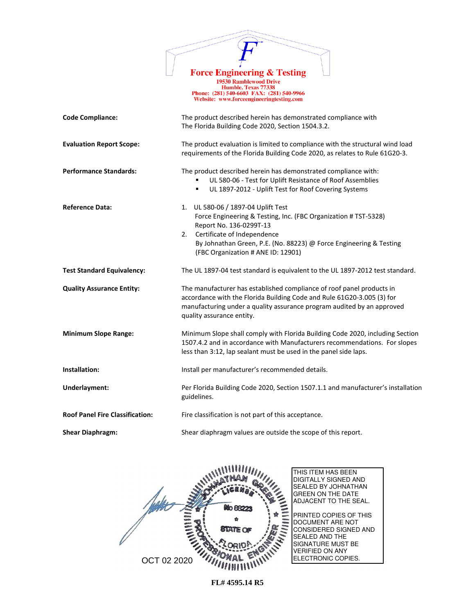

1978 Ramblewood Drive<br>
19530 Ramblewood Drive<br>
Humble, Texas 77338<br>
Phone: (281) 540-6603 FAX: (281) 540-9966<br>
Website: www.forceengineeringtesting.com

| <b>Code Compliance:</b>                | The product described herein has demonstrated compliance with<br>The Florida Building Code 2020, Section 1504.3.2.                                                                                                                                                                |  |  |
|----------------------------------------|-----------------------------------------------------------------------------------------------------------------------------------------------------------------------------------------------------------------------------------------------------------------------------------|--|--|
| <b>Evaluation Report Scope:</b>        | The product evaluation is limited to compliance with the structural wind load<br>requirements of the Florida Building Code 2020, as relates to Rule 61G20-3.                                                                                                                      |  |  |
| <b>Performance Standards:</b>          | The product described herein has demonstrated compliance with:<br>UL 580-06 - Test for Uplift Resistance of Roof Assemblies<br>UL 1897-2012 - Uplift Test for Roof Covering Systems<br>٠                                                                                          |  |  |
| <b>Reference Data:</b>                 | 1. UL 580-06 / 1897-04 Uplift Test<br>Force Engineering & Testing, Inc. (FBC Organization # TST-5328)<br>Report No. 136-0299T-13<br>Certificate of Independence<br>2.<br>By Johnathan Green, P.E. (No. 88223) @ Force Engineering & Testing<br>(FBC Organization # ANE ID: 12901) |  |  |
| <b>Test Standard Equivalency:</b>      | The UL 1897-04 test standard is equivalent to the UL 1897-2012 test standard.                                                                                                                                                                                                     |  |  |
| <b>Quality Assurance Entity:</b>       | The manufacturer has established compliance of roof panel products in<br>accordance with the Florida Building Code and Rule 61G20-3.005 (3) for<br>manufacturing under a quality assurance program audited by an approved<br>quality assurance entity.                            |  |  |
| <b>Minimum Slope Range:</b>            | Minimum Slope shall comply with Florida Building Code 2020, including Section<br>1507.4.2 and in accordance with Manufacturers recommendations. For slopes<br>less than 3:12, lap sealant must be used in the panel side laps.                                                    |  |  |
| Installation:                          | Install per manufacturer's recommended details.                                                                                                                                                                                                                                   |  |  |
| Underlayment:                          | Per Florida Building Code 2020, Section 1507.1.1 and manufacturer's installation<br>guidelines.                                                                                                                                                                                   |  |  |
| <b>Roof Panel Fire Classification:</b> | Fire classification is not part of this acceptance.                                                                                                                                                                                                                               |  |  |
| <b>Shear Diaphragm:</b>                | Shear diaphragm values are outside the scope of this report.                                                                                                                                                                                                                      |  |  |

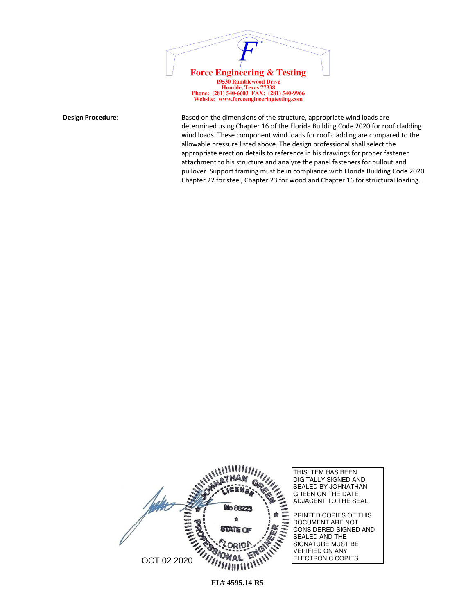

**Design Procedure:** Based on the dimensions of the structure, appropriate wind loads are determined using Chapter 16 of the Florida Building Code 2020 for roof cladding wind loads. These component wind loads for roof cladding are compared to the allowable pressure listed above. The design professional shall select the appropriate erection details to reference in his drawings for proper fastener attachment to his structure and analyze the panel fasteners for pullout and pullover. Support framing must be in compliance with Florida Building Code 2020 Chapter 22 for steel, Chapter 23 for wood and Chapter 16 for structural loading.